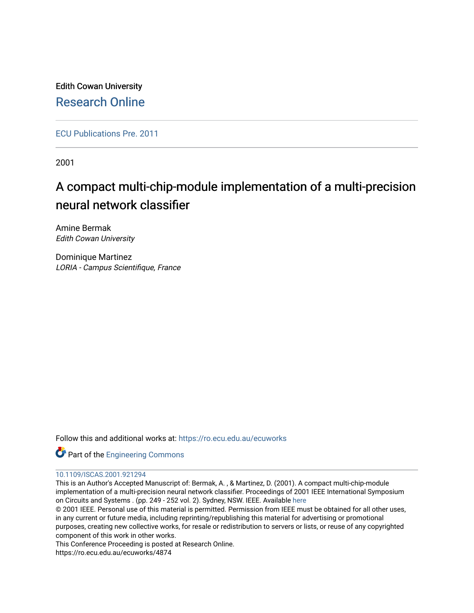Edith Cowan University [Research Online](https://ro.ecu.edu.au/) 

[ECU Publications Pre. 2011](https://ro.ecu.edu.au/ecuworks)

2001

# A compact multi-chip-module implementation of a multi-precision neural network classifier

Amine Bermak Edith Cowan University

Dominique Martinez LORIA - Campus Scientifique, France

Follow this and additional works at: [https://ro.ecu.edu.au/ecuworks](https://ro.ecu.edu.au/ecuworks?utm_source=ro.ecu.edu.au%2Fecuworks%2F4874&utm_medium=PDF&utm_campaign=PDFCoverPages) 



# [10.1109/ISCAS.2001.921294](http://dx.doi.org/10.1109/ISCAS.2001.921294)

This is an Author's Accepted Manuscript of: Bermak, A. , & Martinez, D. (2001). A compact multi-chip-module implementation of a multi-precision neural network classifier. Proceedings of 2001 IEEE International Symposium on Circuits and Systems . (pp. 249 - 252 vol. 2). Sydney, NSW. IEEE. Available [here](http://dx.doi.org/10.1109/ISCAS.2001.921294) 

© 2001 IEEE. Personal use of this material is permitted. Permission from IEEE must be obtained for all other uses, in any current or future media, including reprinting/republishing this material for advertising or promotional purposes, creating new collective works, for resale or redistribution to servers or lists, or reuse of any copyrighted component of this work in other works.

This Conference Proceeding is posted at Research Online.

https://ro.ecu.edu.au/ecuworks/4874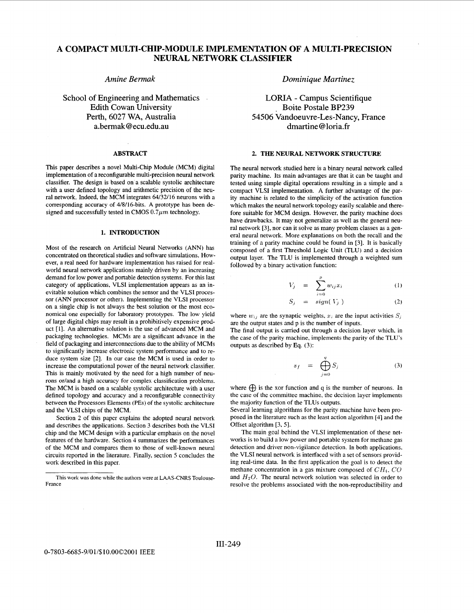# **A COMPACT MULTI-CHIP-MODULE IMPLEMENTATION OF A MULTI-PRECISION NEURAL NETWORK CLASSIFIER**

## *Amine Bermak*

School of Engineering and Mathematics Edith Cowan University Perth, 6027 **WA,** Australia a.bermak@ecu.edu.au

#### **ABSTRACT**

This paper describes a novel Multi-Chip Module (MCM) digital implementation of a reconfigurable multi-precision neural network classifier. The design is based on a scalable systolic architecture with a user defined topology and arithmetic precision of the neural network. Indeed, the MCM integrates 64/32/16 neurons with a corresponding accuracy of 4/8/16-bits. A prototype has been designed and successfully tested in CMOS  $0.7 \mu m$  technology.

#### **1. INTRODUCTION**

Most of the research on Artificial Neural Networks (ANN) has concentrated on theoretical studies and software simulations. However, a real need for hardware implementation has raised for realworld neural network applications mainly driven by an increasing demand for low power and portable detection systems. For this last category of applications, VLSI implementation appears as an inevitable solution which combines the sensor and the VLSI processor (ANN processor or other). Implementing the VLSI processor on a single chip is not always the best solution or the most economical one especially for laboratory prototypes. The low yield of large digital chips may result in a prohibitively expensive product [1]. An alternative solution is the use of advanced MCM and packaging technologies. MCMs are a significant advance in the field of packaging and interconnections due to the ability of MCMs to significantly increase electronic system performance and to reduce system size [2]. In our case the MCM is used in order to increase the computational power of the neural network classifier. This is mainly motivated by the need for a high number of neurons or/and a high accuracy for complex classification problems. The MCM is based on a scalable systolic architecture with a user defined topology and accuracy and a reconfigurable connectivity between the Processors Elements (PES) of the systolic architecture and the VLSI chips of the MCM.

Section 2 of this paper explains the adopted neural network and describes the applications. Section 3 describes both the VLSI chip and the MCM design with a particular emphasis on the novel features of the hardware. Section 4 summarizes the performances of the MCM and compares them to those of well-known neural circuits reported in the literature. Finally, section 5 concludes the work described in this paper.

*Dominique Martinez* 

LORIA - Campus Scientifique Boite Postale BP239 54506 Vandoeuvre-Les-Nancy, France dmarti ne @ **lori** a. **fr** 

### **2. THE NEURAL NETWORK STRUCTURE**

The neural network studied here is a binary neural network called parity machine. Its main advantages are that it can be taught and tested using simple digital operations resulting in a simple and a compact VLSI implementation. A further advantage of the parity machine is related to the simplicity of the activation function which makes the neural network topology easily scalable and therefore suitable for MCM design. However, the parity machine does have drawbacks. It may not generalize as well as the general neural network [3], nor can it solve as many problem classes as a general neural network. More explanations on both the recall and the training of a parity machine could be found in [3]. It is basically composed of a first Threshold Logic Unit (TLU) and a decision output layer. The TLU is implemented through a weighted sum followed by a binary activation function:

$$
V_j = \sum_{i=0}^p w_{ij} x_i \tag{1}
$$

$$
S_j = sign(V_j)
$$
 (2)

where  $w_{ij}$  are the synaptic weights,  $x_i$  are the input activities  $S_j$ are the output states and p is the number of inputs.

The final output is carried out through a decision layer which, in the case of the parity machine, implements the parity of the TLU's outputs as described by Eq. (3):

$$
s_f = \bigoplus_{j=0}^q S_j \tag{3}
$$

where  $\bigoplus$  is the xor function and q is the number of neurons. In the case of the committee machine, the decision layer implements the majority function of the TLUs outputs.

Several learning algorithms for the parity machine have been proposed in the literature such as the least action algorithm [4] and the Offset algorithm [3, 51.

The main goal behind the VLSI implementation of these networks is to build a low power and portable system for methane gas detection and driver non-vigilance detection. In both applications. the VLSI neural network is interfaced with a set of sensors providing real-time data. In the first application the goal is to detect the methane concentration in a gas mixture composed of *CHI,* CO and  $H_2O$ . The neural network solution was selected in order to resolve the problems associated with the non-reproductibility and

This work was done while the authors were at **LAAS-CNRS** Toulouse-France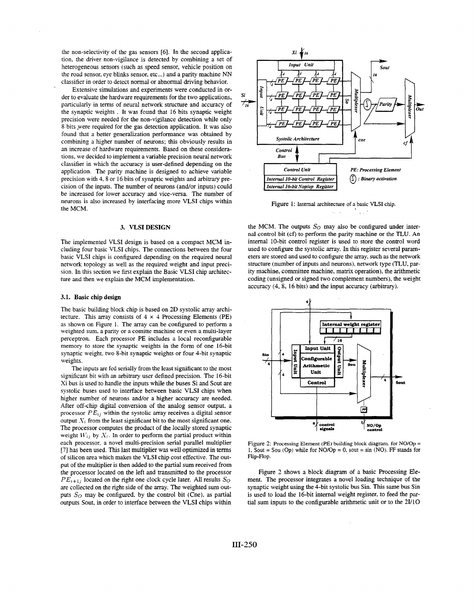the non-selectivity of the gas sensors [6]. In the second application, the driver non-vigilance is detected by combining a set of heterogeneous sensors (such as speed sensor, vehicle position on the road sensor, eye blinks sensor, etc...) and a parity machine NN classifier in order to detect normal or abnormal driving behavior.

Extensive simulations and experiments were conducted in order to evaluate the hardware requirements for the two applications, particularly in terms of neural network structure and accuracy of the synaptic weights . It was found that 16 bits synaptic weight precision were needed for the non-vigilance detection while only 8 bits were required for the gas detection application. It was also found that a better generalization performance was obtained by combining a higher number of neurons; this obviously results in an increase of hardware requirements. Based on these considerations, we decided to implement a variable precision neural network classifier in which the accuracy is user-defined depending on the application. The parity machine is designed to achieve variable precision with 4. 8 or 16 bits of synaptic weights and arbitrary precision of the inputs. The number of neurons (and/or inputs) could be increased for lower accuracy and vice-versa. The number of neurons is also increased by interfacing more VLSI chips within the MCM.

#### **3. VLSI DESIGN**

The implemented VLSI design is based on a compact MCM including four basic VLSI chips. The connections between the four basic VLSI chips is configured depending on the required neural network topology as well as the required weight and input precision. In this section we first explain the Basic VLSI chip architecture and then we explain the MCM implementation.

#### **3.1.** Basic chip design

The basic building block chip is based on **2D** systolic array architecture. This array consists of  $4 \times 4$  Processing Elements (PE) as shown on Figure 1. The array can be configured to perform a weighted sum, a parity or a comitte machine or even a multi-layer perceptron. Each processor PE includes a local reconfigurable memory to store the synaptic weights in the form of one 16-bit synaptic weight, two 8-bit synaptic weights or four 4-bit synaptic weights.

The inputs are fed serially from the least significant to the most significant bit with **an** arbitrary user defined precision. The 16-bit Xi bus is used to handle the inputs while the buses Si and Sout are systolic buses used to interface between basic VLSI chips when higher number of neurons and/or a higher accuracy are needed. After off-chip digital conversion of the analog sensor output, a processor  $PE_{ij}$  within the systolic array receives a digital sensor output *N<sub>i</sub>* from the least significant bit to the most significant one. The processor computes the product of the locally stored synaptic weight  $W_{ij}$  by  $X_i$ . In order to perform the partial product within each processor, a novel multi-precision serial parallel multiplier *[7]* has been used. This last multiplier was well optimized in terms of silicon area which makes the VLSI chip cost effective. The output of the multiplier is then added to the partial sum received from the processor located on the left and transmitted to the processor  $PE_{i+1j}$  located on the right one clock cycle later. All results  $S_O$ are collected on the right side of the array. The weighted sum outputs  $S_O$  may be configured, by the control bit (Cne), as partial outputs Sout, in order to interface between the VLSI chips within



Figure **1:** Internal architecture of a basic VLSI chip.  $\Delta_{\rm{2}}$  ,  $\Delta_{\rm{2}}$  $\chi \propto 10^4$ 

the MCM. The outputs  $S_O$  may also be configured under internal control bit (cf) to perform the parity machine or the TLU. An internal 10-bit control register is used to store the control word used to configure the systolic array. In this register several parameters are stored and used to configure the array, such as the network structure (number of inputs and neurons), network type (TLU, parity machine, committee machine, matrix operation), the arithmetic coding (unsigned or signed two complement numbers), the weizht accuracy (4, 8, 16 bits) and the input accuracy (arbitrary).



Figure **2:** Processing Element (PE) building block diagram. for N0/0p = 1. Sout = Sou (Op) while for  $NO/Op = 0$ , sout = sin (NO). FF stands for Flip-Flop.

Figure *2* shows a block diagram of a basic Processing Element. The processor integrates a novel loading technique of the synaptic weight using the 4-bit systolic bus Sin. This same bus Sin is used to load the 16-bit internal weight register, to feed the partial sum inputs to the configurable arithmetic unit or to the **2UlO**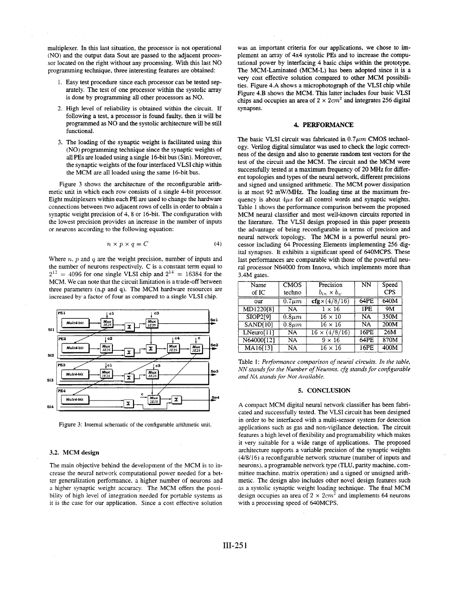multiplexer. In this last situation, the processor is not operational (NO) and the output data Sout are passed to the adjacent processor located on the right without any processing. With this last NO programming technique, three interesting features are obtained:

- Easy test procedure since each processor can be tested separately. The test of one processor within the systolic array is done by programming **all** other processors **as** NO.
- 2. High level of reliability is obtained within the circuit. If following a test, a processor is found faulty, then it will be programmed as NO and the systolic architecture will be still functional.
- 3. The loading of the synaptic weight is facilitated using this (NO) programming technique since the synaptic weights of all PES are loaded using a single 16-bit bus (Sin). Moreover, the synaptic weights of the four interfaced VLSI chip within the MCM are all loaded using the same 16-bit bus.

Figure 3 shows the architecture of the reconfigurable arithmetic unit in which each row consists of a single 4-bit processor. Eight multiplexers within each PE are used to change the hardware connections between **two** adjacent rows of cells in order to obtain a synaptic weight precision of  $4, 8$  or 16-bit. The configuration with the lowest precision provides an increase in the number of inputs or neurons according to the following equation:

$$
n \times p \times q = C \tag{4}
$$

Where  $n$ ,  $p$  and  $q$  are the weight precision, number of inputs and the number of neurons respectively. C is a constant term equal to  $2^{12}$  = 4096 for one single VLSI chip and  $2^{14}$  = 16384 for the MCM. We can note that the circuit limitation is a trade-off between three parameters (n,p and 9). The MCM hardware resources are increased **by** a factor of four as compared to a single VLSI chip.



Figure 3: Intemal schematic of the configurable arithmetic unit.

#### **3.2.** MCM design

The main objective behind the development of the MCM is to increase the neural network computational power needed for a better generalization performance, a higher number of neurons and a higher synaptic weight accuracy. The MCM offers the possibility of high level of integration needed for portable systems as it is the case for our application. Since a cost effective solution

was an important criteria for our applications, we chose to implement an array of 4x4 systolic PES and to increase the computational power by interfacing 4 basic chips within the prototype. The MCM-Laminated (MCM-L) has been adopted since it is a very cost effective solution compared to other MCM possibilities. Figure 4.A shows a microphotograph of the VLSI chip while Figure 4.B shows the MCM. This latter includes four basic **VLSI**  chips and occupies an area of  $2 \times 2 \, \text{cm}^2$  and integrates 256 digital synapses.

#### **4.** PERFORMANCE

The basic VLSI circuit was fabricated in  $0.7 \mu m$  CMOS technology. Verilog digital simulator was used to check the logic correctness of the design and also to generate random test vectors for the test of the circuit and the MCM. The circuit and the MCM were successfully tested at a maximum frequency of **20** MHz for different topologies and types of the neural network, different precisions and signed and unsigned arithmetic. The MCM power dissipation is at most 92 mW/MHz. The loading time at the maximum frequency is about  $4\mu s$  for all control words and synaptic weights. Table **1** shows the performance comparison between the proposed MCM neural classifier and most well-known circuits reported in the literature. The VLSI design proposed in this paper presents the advantage of being reconfigurable in terms of precision and neural network topology. The MCM is a powerful neural processor including *64* Processing Elements implementing *256* digital synapses. It exhibits a significant speed of 640MCPS. These last performances are comparable with those of the powerful neural processor N64000 from Innova, which implements more than 3.4M gates.

| Name            | <b>CMOS</b> | Precision                             | NN        | Speed      |
|-----------------|-------------|---------------------------------------|-----------|------------|
| of IC           | techno      | $b_{in} \times b_{w}$                 |           | <b>CPS</b> |
| our             | $0.7 \mu m$ | $\overline{\text{cfg}\times(4/8/16)}$ | 64PE      | 640M       |
| MD1220[8]       | NA          | $1 \times 16$                         | 1PE       | <b>9M</b>  |
| <b>SIOP2[9]</b> | $0.8 \mu m$ | $16 \times 10$                        | <b>NA</b> | 350M       |
| SAND[10]        | $0.8 \mu m$ | $16 \times 16$                        | <b>NA</b> | 200M       |
| LNeuro[11]      | <b>NA</b>   | $16 \times (4/8/16)$                  | 16PE      | 26M        |
| N64000[12]      | <b>NA</b>   | $9 \times 16$                         | 64PE      | 870M       |
| MA16[13]        | NA          | $16 \times 16$                        | 16PE      | 400M       |
|                 |             |                                       |           |            |

Table 1: *Performance comparison of neural circuits. In the table, NN* stands for the Number of Neurons, cfg stands for configurable *~iid NA starids for Not Available.* 

#### **5.** CONCLUSION

A compact MCM digital neural network classifier has been fabricated and successfully tested. The VLSI circuit has been designed in order to be interfaced with a multi-sensor system for detection applications such as gas and non-vigilance detection. The circuit features a high level of flexibility and programability which makes it very suitable for a wide range of applications. The proposed architecture supports a variable precision of the synaptic weights (4/8/16) a reconfigurable network structure (number of inputs and neurons), a programable network type (TLU, parity machine, committee machine, matrix operation) and a signed or unsigned arithmetic. The design also includes other novel design features such as a systolic synaptic weight loading technique. The final MCM design occupies an area of  $2 \times 2cm^2$  and implements 64 neurons with a processing speed of 640MCPS.